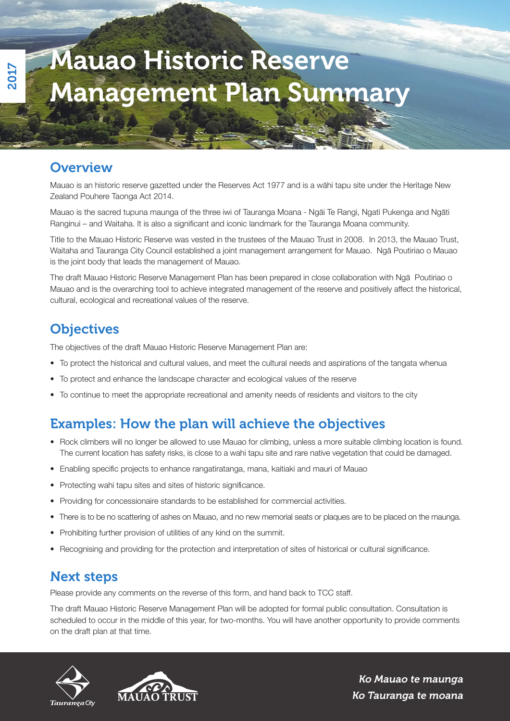# Mauao Historic Reserve Management Plan Summary

## **Overview**

2017

Mauao is an historic reserve gazetted under the Reserves Act 1977 and is a wāhi tapu site under the Heritage New Zealand Pouhere Taonga Act 2014.

Mauao is the sacred tupuna maunga of the three iwi of Tauranga Moana - Ngāi Te Rangi, Ngati Pukenga and Ngāti Ranginui – and Waitaha. It is also a significant and iconic landmark for the Tauranga Moana community.

Title to the Mauao Historic Reserve was vested in the trustees of the Mauao Trust in 2008. In 2013, the Mauao Trust, Waitaha and Tauranga City Council established a joint management arrangement for Mauao. Ngā Poutiriao o Mauao is the joint body that leads the management of Mauao.

The draft Mauao Historic Reserve Management Plan has been prepared in close collaboration with Ngā Poutiriao o Mauao and is the overarching tool to achieve integrated management of the reserve and positively affect the historical, cultural, ecological and recreational values of the reserve.

# **Objectives**

The objectives of the draft Mauao Historic Reserve Management Plan are:

- To protect the historical and cultural values, and meet the cultural needs and aspirations of the tangata whenua
- To protect and enhance the landscape character and ecological values of the reserve
- To continue to meet the appropriate recreational and amenity needs of residents and visitors to the city

### Examples: How the plan will achieve the objectives

- Rock climbers will no longer be allowed to use Mauao for climbing, unless a more suitable climbing location is found. The current location has safety risks, is close to a wahi tapu site and rare native vegetation that could be damaged.
- Enabling specific projects to enhance rangatiratanga, mana, kaitiaki and mauri of Mauao
- Protecting wahi tapu sites and sites of historic significance.
- Providing for concessionaire standards to be established for commercial activities.
- There is to be no scattering of ashes on Mauao, and no new memorial seats or plaques are to be placed on the maunga.
- Prohibiting further provision of utilities of any kind on the summit.
- Recognising and providing for the protection and interpretation of sites of historical or cultural significance.

#### Next steps

Please provide any comments on the reverse of this form, and hand back to TCC staff.

The draft Mauao Historic Reserve Management Plan will be adopted for formal public consultation. Consultation is scheduled to occur in the middle of this year, for two-months. You will have another opportunity to provide comments on the draft plan at that time.





Ko Mauao te maunga Ko Tauranga te moana